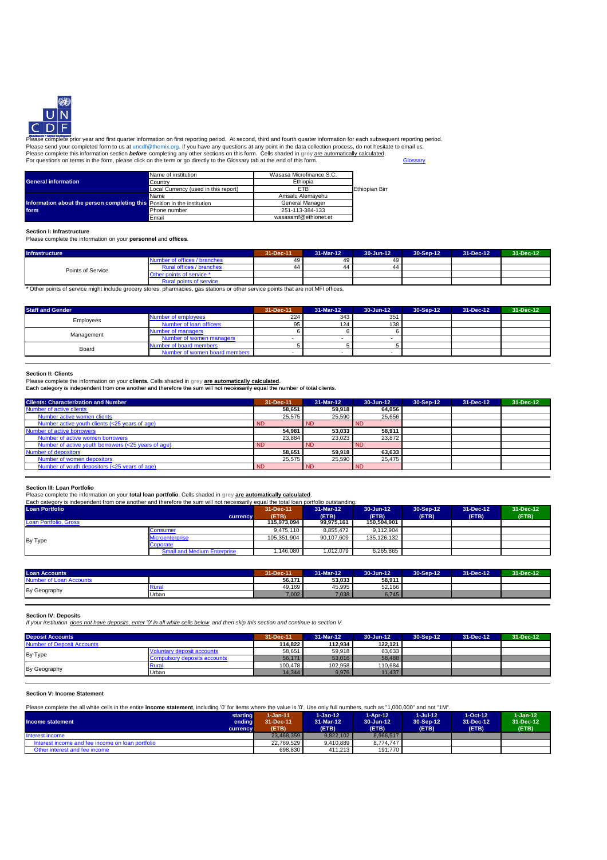

Please complete prior year and first quarter information on first reporting period. At second, third and fourth quarter information for each subsequent reporting period.<br>Please send your completed form to us at uncdf⊛the For questions on terms in the form, please click on the term or go directly to the Glossary tab at the end of this form. Glossary tab at the end of this form.

|                                                                          | Name of institution                  | Wasasa Microfinance S.C. |                       |
|--------------------------------------------------------------------------|--------------------------------------|--------------------------|-----------------------|
| <b>General information</b>                                               | Country                              | Ethiopia                 |                       |
|                                                                          | Local Currency (used in this report) | <b>ETB</b>               | <b>Ethiopian Birr</b> |
|                                                                          | Name                                 | Amsalu Alemavehu         |                       |
| Information about the person completing this Position in the institution |                                      | General Manager          |                       |
| form                                                                     | Phone number                         | 251-113-384-133          |                       |
|                                                                          | Email                                | wasasamf@ethionet.et     |                       |

#### **Section I: Infrastructure**

Please complete the information on your **personnel** and **offices**.

| <b>Infrastructure</b>                                                                                                              |                                | 31-Dec-11 | 31-Mar-12 | 30-Jun-12 | 30-Sep-12 | 31-Dec-12 | 31-Dec-12 |
|------------------------------------------------------------------------------------------------------------------------------------|--------------------------------|-----------|-----------|-----------|-----------|-----------|-----------|
|                                                                                                                                    | Number of offices / branches   | 49        | 49        |           |           |           |           |
| Points of Service                                                                                                                  | Rural offices / branches       | 44        | 44        |           |           |           |           |
|                                                                                                                                    | Other points of service *      |           |           |           |           |           |           |
|                                                                                                                                    | <b>Rural points of service</b> |           |           |           |           |           |           |
| * Other points of service might include grocery stores, pharmacies, gas stations or other service points that are not MFI offices. |                                |           |           |           |           |           |           |

#### **Staff and Gender 31-Dec-11 31-Mar-12 30-Jun-12 30-Sep-12 31-Dec-12 31-Dec-12** Number of employees **1988** 224 343 351 Number of loan officers 128 124 138 Number of managers 6 6 6 Number of women managers and the set of the set of the set of the set of the set of the set of the set of the set of the set of the set of the set of the set of the set of the set of the set of the set of the set of the se Number of board members 5 5 5 Number of women board members - - - Management Board Employees

#### **Section II: Clients**

Please complete the information on your **clients.** Cells shaded in **grey are automatically calculated**.

Each category is independent from one another and therefore the sum will not necessarily equal the number of total clients.

| <b>Clients: Characterization and Number</b>         | 31-Dec-11       | 31-Mar-12 | 30-Jun-12        | 30-Sep-12 | 31-Dec-12 | 31-Dec-12 |
|-----------------------------------------------------|-----------------|-----------|------------------|-----------|-----------|-----------|
| Number of active clients                            | 58.651          | 59.918    | 64,056           |           |           |           |
| Number active women clients                         | 25.575          | 25.590    | 25.656           |           |           |           |
| Number active youth clients (<25 years of age)      | <b>ND</b>       | <b>ND</b> | <b>ND</b>        |           |           |           |
| Number of active borrowers                          | 54.981          | 53.033    | 58.911           |           |           |           |
| Number of active women borrowers                    | 23.884          | 23.023    | 23.872           |           |           |           |
| Number of active youth borrowers (<25 years of age) | <b>ND</b>       | <b>ND</b> | <b>ND</b>        |           |           |           |
| <b>Number of depositors</b>                         | 58.651          | 59.918    | 63,633           |           |           |           |
| Number of women depositors                          | 25.575          | 25.590    | 25.475           |           |           |           |
| Number of youth depositors (<25 years of age)       | ND <sub>1</sub> | <b>ND</b> | IND <sub>1</sub> |           |           |           |

## **Section III: Loan Portfolio**

Please complete the information on your **total loan portfolio**. Cells shaded in grey <u>are automatically calculated</u>.<br>Each category is independent from one another and therefore the sum will not necessarily equal the total

| . Each catedory is independent from one another and therefore the sum will not necessarily equal the total loan portfolio outstanding. |                                    |             |            |             |           |           |           |
|----------------------------------------------------------------------------------------------------------------------------------------|------------------------------------|-------------|------------|-------------|-----------|-----------|-----------|
| <b>Loan Portfolio</b>                                                                                                                  |                                    | 31-Dec-11   | 31-Mar-12  | 30-Jun-12   | 30-Sep-12 | 31-Dec-12 | 31-Dec-12 |
|                                                                                                                                        | currency                           | (ETB)       | (ETB)      | (ETB)       | (ETB)     | (ETB)     | (ETB)     |
| Loan Portfolio, Gross                                                                                                                  |                                    | 115.973.094 | 99.975.161 | 150.504.901 |           |           |           |
| By Type                                                                                                                                | Consumer                           | 9.475.110   | 8.855.472  | 9.112.904   |           |           |           |
|                                                                                                                                        | <b>Microenterprise</b>             | 105.351.904 | 90.107.609 | 135.126.132 |           |           |           |
|                                                                                                                                        | Coporate                           |             |            |             |           |           |           |
|                                                                                                                                        | <b>Small and Medium Enterprise</b> | 146,080     | 1.012.079  | 6,265,865   |           |           |           |

|                         | 31-Dec-11 | 31-Mar-12 | 30-Jun-12 | 30-Sep-12 | 31-Dec-12 | 31-Dec-12 |
|-------------------------|-----------|-----------|-----------|-----------|-----------|-----------|
| Number of Loan Accounts | 56,171    | 53,033    | 58,911    |           |           |           |
| Rura                    | 49.169    | 45.995    | 52.166    |           |           |           |
| By Geography<br>Urban   | 7,002     | 7,038     | 6.745     |           |           |           |

## **Section IV: Deposits**

If your institution does not have deposits, enter '0' in all white cells below and then skip this section and continue to section V.

| <b>Deposit Accounts</b>           |                          | 31-Dec-11 | 31-Mar-12 | 30-Jun-12 | 30-Sep-12 | 31-Dec-12 | 31-Dec-12 |
|-----------------------------------|--------------------------|-----------|-----------|-----------|-----------|-----------|-----------|
| <b>Number of Deposit Accounts</b> |                          | 114.822   | 112.934   | 122.121   |           |           |           |
|                                   | untary deposit accounts. | 58,651    | 59,918    | 63,633    |           |           |           |
| By Type                           | deposits accounts /      | 56.171    | 53,016    | 58.488    |           |           |           |
|                                   | Rural                    | 100,478   | 102,958   | 110,684   |           |           |           |
| By Geography                      | Urban                    | 14.344    | 9.976     | 11.437    |           |           |           |

# **Section V: Income Statement**

Please complete the all white cells in the entire **income statement**, including '0' for items where the value is '0'. Use only full numbers, such as "1,000,000" and not "1M".

| Income statement                                 | starting<br>endina | 1-Jan-11<br>31-Dec-11 | $1 - Jan-12$<br>31-Mar-12 | $1-Apr-12$<br>30-Jun-12 | $1 -$ Jul-12<br>30-Sep-12 | $1-Oct-12$<br>31-Dec-12 | $1 - Jan-12$<br>31-Dec-12 |
|--------------------------------------------------|--------------------|-----------------------|---------------------------|-------------------------|---------------------------|-------------------------|---------------------------|
|                                                  | currency           | (ETB)                 | (ETB)                     | (ETB)                   | (ETB)                     | (ETB)                   | (ETB)                     |
| Interest income                                  |                    | 23.468.359            | 9.822.102                 | 8.966.517               |                           |                         |                           |
| Interest income and fee income on loan portfolio |                    | 22.769.529            | 9.410.889                 | 8.774.747               |                           |                         |                           |
| Other interest and fee income                    |                    | 698.830               | 411.213                   | 191.770                 |                           |                         |                           |
|                                                  |                    |                       |                           |                         |                           |                         |                           |